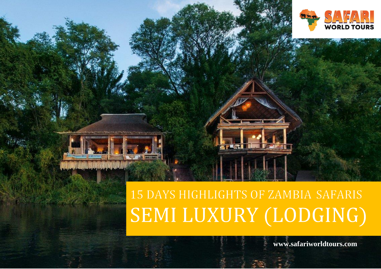

# 15 DAYS HIGHLIGHTS OF ZAMBIA SAFARIS SEMI LUXURY (LODGING)

 **www.safariworldtours.com info@safariworldtours.com +264 81 8211 521 www.safariworldtours.com**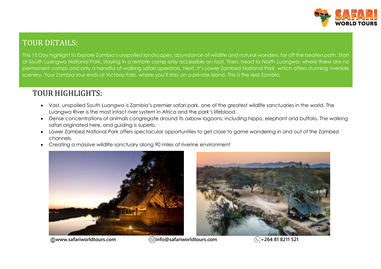

# TOUR DETAILS:

This 15 Day highlight to Explore Zambia's unspoiled landscapes, abundance of wildlife and natural wonders, far off the beaten path. Start at South Luangwa National Park, staying in a remote camp only accessible on foot. Then, head to North Luangwa, where there are no permanent camps and only a handful of walking safari operators. Next, it's Lower Zambezi National Park, which offers stunning riverside scenery. Your Zambia tour ends at Victoria Falls, where you'll stay on a private island. This is the real Zambia.

# TOUR HIGHLIGHTS:

- Vast, unspoiled South Luangwa is Zambia's premier safari park, one of the greatest wildlife sanctuaries in the world. The Luangwa River is the most intact river system in Africa and the park's lifeblood.
- Dense concentrations of animals congregate around its oxbow lagoons, including hippo, elephant and buffalo. The walking safari originated here, and guiding is superb.
- Lower Zambezi National Park offers spectacular opportunities to get close to game wandering in and out of the Zambezi channels.
- Creating a massive wildlife sanctuary along 90 miles of riverine environment







**www.safariworldtours.com info@safariworldtours.com +264 81 8211 521**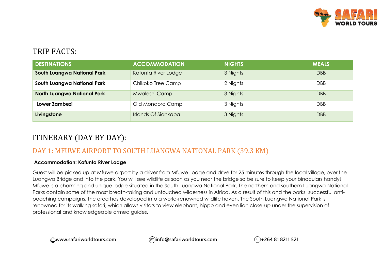

## TRIP FACTS:

| <b>DESTINATIONS</b>                | <b>ACCOMMODATION</b> | <b>NIGHTS</b> | <b>MEALS</b> |
|------------------------------------|----------------------|---------------|--------------|
| <b>South Luangwa National Park</b> | Kafunta River Lodge  | 3 Nights      | <b>DBB</b>   |
| South Luangwa National Park        | Chikoko Tree Camp    | 2 Nights      | <b>DBB</b>   |
| <b>North Luangwa National Park</b> | Mwaleshi Camp        | 3 Nights      | <b>DBB</b>   |
| Lower Zambezi                      | Old Mondoro Camp     | 3 Nights      | DBB          |
| Livingstone                        | Islands Of Siankaba  | 3 Nights      | <b>DBB</b>   |

# ITINERARY (DAY BY DAY):

## DAY 1: MFUWE AIRPORT TO SOUTH LUANGWA NATIONAL PARK (39.3 KM)

#### **Accommodation: Kafunta River Lodge**

Guest will be picked up at Mfuwe airport by a driver from Mfuwe Lodge and drive for 25 minutes through the local village, over the Luangwa Bridge and into the park. You will see wildlife as soon as you near the bridge so be sure to keep your binoculars handy! Mfuwe is a charming and unique lodge situated in the South Luangwa National Park. The northern and southern Luangwa National Parks contain some of the most breath-taking and untouched wilderness in Africa. As a result of this and the parks' successful antipoaching campaigns, the area has developed into a world-renowned wildlife haven. The South Luangwa National Park is renowned for its walking safari, which allows visitors to view elephant, hippo and even lion close-up under the supervision of professional and knowledgeable armed guides.

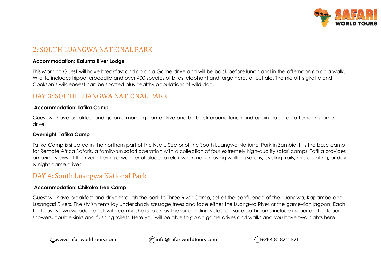

## 2: SOUTH LUANGWA NATIONAL PARK

#### **Accommodation: Kafunta River Lodge**

This Morning Guest will have breakfast and go on a Game drive and will be back before lunch and in the afternoon go on a walk. Wildlife includes hippo, crocodile and over 400 species of birds, elephant and large herds of buffalo. Thornicroft's giraffe and Cookson's wildebeest can be spotted plus healthy populations of wild dog.

## DAY 3: SOUTH LUANGWA NATIONAL PARK

#### **Accommodation: Tafika Camp**

Guest will have breakfast and go on a morning game drive and be back around lunch and again go on an afternoon game drive.

#### **Overnight: Tafika Camp**

Tafika Camp is situated in the northern part of the Nsefu Sector of the South Luangwa National Park in Zambia. It is the base camp for Remote Africa Safaris, a family-run safari operation with a collection of four extremely high-quality safari camps. Tafika provides amazing views of the river offering a wonderful place to relax when not enjoying walking safaris, cycling trails, microlighting, or day & night game drives.

## DAY 4: South Luangwa National Park

#### **Accommodation: Chikoko Tree Camp**

Guest will have breakfast and drive through the park to Three River Camp, set at the confluence of the Luangwa, Kapamba and Lusangazi Rivers. The stylish tents lay under shady sausage trees and face either the Luangwa River or the game-rich lagoon. Each tent has its own wooden deck with comfy chairs to enjoy the surrounding vistas, en-suite bathrooms include indoor and outdoor showers, double sinks and flushing toilets. Here you will be able to go on game drives and walks and you have two nights here.

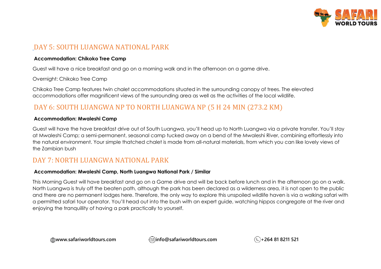

## DAY 5: SOUTH LUANGWA NATIONAL PARK

#### **Accommodation: Chikoko Tree Camp**

Guest will have a nice breakfast and go on a morning walk and in the afternoon on a game drive.

Overnight: Chikoko Tree Camp

Chikoko Tree Camp features twin chalet accommodations situated in the surrounding canopy of trees. The elevated accommodations offer magnificent views of the surrounding area as well as the activities of the local wildlife.

## DAY 6: SOUTH LUANGWA NP TO NORTH LUANGWA NP (5 H 24 MIN (273.2 KM)

#### **Accommodation: Mwaleshi Camp**

Guest will have the have breakfast drive out of South Luangwa, you'll head up to North Luangwa via a private transfer. You'll stay at Mwaleshi Camp; a semi-permanent, seasonal camp tucked away on a bend of the Mwaleshi River, combining effortlessly into the natural environment. Your simple thatched chalet is made from all-natural materials, from which you can like lovely views of the Zambian bush

## DAY 7: NORTH LUANGWA NATIONAL PARK

#### **Accommodation: Mwaleshi Camp, North Luangwa National Park / Similar**

This Morning Guest will have breakfast and go on a Game drive and will be back before lunch and in the afternoon go on a walk. North Luangwa is truly off the beaten path, although the park has been declared as a wilderness area, it is not open to the public and there are no permanent lodges here. Therefore, the only way to explore this unspoiled wildlife haven is via a walking safari with a permitted safari tour operator. You'll head out into the bush with an expert guide, watching hippos congregate at the river and enjoying the tranquillity of having a park practically to yourself.

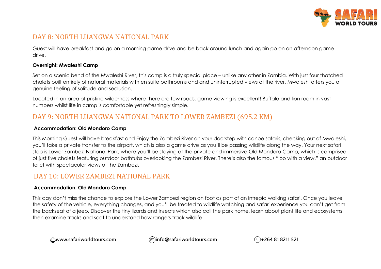

## DAY 8: NORTH LUANGWA NATIONAL PARK

Guest will have breakfast and go on a morning game drive and be back around lunch and again go on an afternoon game drive.

#### **Overnight: Mwaleshi Camp**

Set on a scenic bend of the Mwaleshi River, this camp is a truly special place – unlike any other in Zambia. With just four thatched chalets built entirely of natural materials with en suite bathrooms and and uninterrupted views of the river, Mwaleshi offers you a genuine feeling of solitude and seclusion.

Located in an area of pristine wilderness where there are few roads, game viewing is excellent! Buffalo and lion roam in vast numbers whilst life in camp is comfortable yet refreshingly simple.

## DAY 9: NORTH LUANGWA NATIONAL PARK TO LOWER ZAMBEZI (695.2 KM)

#### **Accommodation: Old Mondoro Camp**

This Morning Guest will have breakfast and Enjoy the Zambezi River on your doorstep with canoe safaris, checking out of Mwaleshi, you'll take a private transfer to the airport, which is also a game drive as you'll be passing wildlife along the way. Your next safari stop is Lower Zambezi National Park, where you'll be staying at the private and immersive Old Mondoro Camp, which is comprised of just five chalets featuring outdoor bathtubs overlooking the Zambezi River. There's also the famous "loo with a view," an outdoor toilet with spectacular views of the Zambezi.

## DAY 10: LOWER ZAMBEZI NATIONAL PARK

#### **Accommodation: Old Mondoro Camp**

This day don't miss the chance to explore the Lower Zambezi region on foot as part of an intrepid walking safari. Once you leave the safety of the vehicle, everything changes, and you'll be treated to wildlife watching and safari experience you can't get from the backseat of a jeep. Discover the tiny lizards and insects which also call the park home, learn about plant life and ecosystems, then examine tracks and scat to understand how rangers track wildlife.

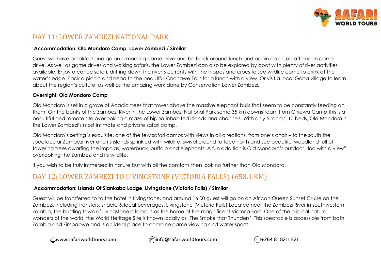

## DAY 11: LOWER ZAMBEZI NATIONAL PARK

#### **Accommodation: Old Mondoro Camp, Lower Zambezi / Similar**

Guest will have breakfast and go on a morning game drive and be back around lunch and again go on an afternoon game drive. As well as game drives and walking safaris, the Lower Zambezi can also be explored by boat with plenty of river activities available. Enjoy a canoe safari, drifting down the river's currents with the hippos and crocs to see wildlife come to drink at the water's edge. Pack a picnic and head to the beautiful Chongwe Falls for a lunch with a view. Or visit a local Goba village to learn about the region's culture, as well as the amazing work done by Conservation Lower Zambezi.

#### **Overnight: Old Mondoro Camp**

Old Mondoro is set in a grove of Acacia trees that tower above the massive elephant bulls that seem to be constantly feeding on them. On the banks of the Zambezi River in the Lower Zambezi National Park some 35 km downstream from Chiawa Camp this is a beautiful and remote site overlooking a maze of hippo-inhabited islands and channels. With only 5 rooms, 10 beds, Old Mondoro is the Lower Zambezi's most intimate and private safari camp.

Old Mondoro's setting is exquisite, one of the few safari camps with views in all directions, from one's chair – to the south the spectacular Zambezi river and its islands sprinkled with wildlife, swivel around to face north and see beautiful woodland full of towering trees dwarfing the impalas, waterbuck, buffalo and elephants. A fun addition is Old Mondoro's outdoor "loo with a view" overlooking the Zambezi and its wildlife.

If you wish to be truly immersed in nature but with all the comforts then look no further than Old Mondoro.

## DAY 12: LOWER ZAMBEZI TO LIVINGSTONE (VICTORIA FALLS) (658.1 KM)

#### **Accommodation: Islands Of Siankaba Lodge, Livingstone (Victoria Falls) / Similar**

Guest will be transferred to to the hotel in Livingstone, and around 16:00 guest will go on an African Queen Sunset Cruise on the Zambezi, including transfers, snacks & local beverages. Livingstone (Victoria Falls) Located near the Zambezi River in southwestern Zambia, the bustling town of Livingstone is famous as the home of the magnificent Victoria Falls. One of the original natural wonders of the world, the World Heritage Site is known locally as 'The Smoke that Thunders'. This spectacle is accessible from both Zambia and Zimbabwe and is an ideal place to combine game viewing and water sports.

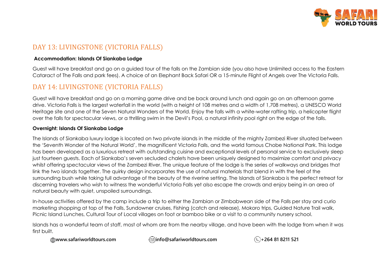

## DAY 13: LIVINGSTONE (VICTORIA FALLS)

#### **Accommodation: Islands Of Siankaba Lodge**

Guest will have breakfast and go on a guided tour of the falls on the Zambian side (you also have Unlimited access to the Eastern Cataract of The Falls and park fees). A choice of an Elephant Back Safari OR a 15-minute Flight of Angels over The Victoria Falls.

## DAY 14: LIVINGSTONE (VICTORIA FALLS)

Guest will have breakfast and go on a morning game drive and be back around lunch and again go on an afternoon game drive. Victoria Falls is the largest waterfall in the world (with a height of 108 metres and a width of 1,708 metres), a UNESCO World Heritage site and one of the Seven Natural Wonders of the World. Enjoy the falls with a white-water rafting trip, a helicopter flight over the falls for spectacular views, or a thrilling swim in the Devil's Pool, a natural infinity pool right on the edge of the falls.

#### **Overnight: Islands Of Siankaba Lodge**

The Islands of Siankaba luxury lodge is located on two private islands in the middle of the mighty Zambezi River situated between the 'Seventh Wonder of the Natural World', the magnificent Victoria Falls, and the world famous Chobe National Park. This lodge has been developed as a luxurious retreat with outstanding cuisine and exceptional levels of personal service to exclusively sleep just fourteen guests. Each of Siankaba's seven secluded chalets have been uniquely designed to maximize comfort and privacy whilst offering spectacular views of the Zambezi River. The unique feature of the lodge is the series of walkways and bridges that link the two islands together. The quirky design incorporates the use of natural materials that blend in with the feel of the surrounding bush while taking full advantage of the beauty of the riverine setting. The Islands of Siankaba is the perfect retreat for discerning travelers who wish to witness the wonderful Victoria Falls yet also escape the crowds and enjoy being in an area of natural beauty with quiet, unspoiled surroundings.

In-house activities offered by the camp include a trip to either the Zambian or Zimbabwean side of the Falls per stay and curio marketing shopping at top of the Falls, Sundowner cruises, Fishing (catch and release), Mokoro trips, Guided Nature Trail walk, Picnic Island Lunches, Cultural Tour of Local villages on foot or bamboo bike or a visit to a community nursery school.

Islands has a wonderful team of staff, most of whom are from the nearby village, and have been with the lodge from when it was first built.